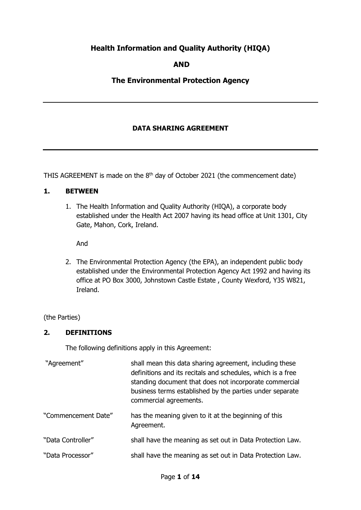# **Health Information and Quality Authority (HIQA)**

## **AND**

## **The Environmental Protection Agency**

### **DATA SHARING AGREEMENT**

THIS AGREEMENT is made on the  $8<sup>th</sup>$  day of October 2021 (the commencement date)

#### **1. BETWEEN**

1. The Health Information and Quality Authority (HIQA), a corporate body established under the Health Act 2007 having its head office at Unit 1301, City Gate, Mahon, Cork, Ireland.

And

2. The Environmental Protection Agency (the EPA), an independent public body established under the Environmental Protection Agency Act 1992 and having its office at PO Box 3000, Johnstown Castle Estate , County Wexford, Y35 W821, Ireland.

(the Parties)

#### **2. DEFINITIONS**

The following definitions apply in this Agreement:

| "Agreement"         | shall mean this data sharing agreement, including these<br>definitions and its recitals and schedules, which is a free<br>standing document that does not incorporate commercial<br>business terms established by the parties under separate<br>commercial agreements. |
|---------------------|------------------------------------------------------------------------------------------------------------------------------------------------------------------------------------------------------------------------------------------------------------------------|
| "Commencement Date" | has the meaning given to it at the beginning of this<br>Agreement.                                                                                                                                                                                                     |
| "Data Controller"   | shall have the meaning as set out in Data Protection Law.                                                                                                                                                                                                              |
| "Data Processor"    | shall have the meaning as set out in Data Protection Law.                                                                                                                                                                                                              |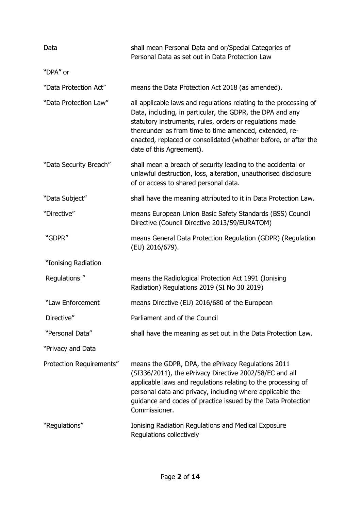| Data                     | shall mean Personal Data and or/Special Categories of<br>Personal Data as set out in Data Protection Law                                                                                                                                                                                                                                            |
|--------------------------|-----------------------------------------------------------------------------------------------------------------------------------------------------------------------------------------------------------------------------------------------------------------------------------------------------------------------------------------------------|
| "DPA" or                 |                                                                                                                                                                                                                                                                                                                                                     |
| "Data Protection Act"    | means the Data Protection Act 2018 (as amended).                                                                                                                                                                                                                                                                                                    |
| "Data Protection Law"    | all applicable laws and regulations relating to the processing of<br>Data, including, in particular, the GDPR, the DPA and any<br>statutory instruments, rules, orders or regulations made<br>thereunder as from time to time amended, extended, re-<br>enacted, replaced or consolidated (whether before, or after the<br>date of this Agreement). |
| "Data Security Breach"   | shall mean a breach of security leading to the accidental or<br>unlawful destruction, loss, alteration, unauthorised disclosure<br>of or access to shared personal data.                                                                                                                                                                            |
| "Data Subject"           | shall have the meaning attributed to it in Data Protection Law.                                                                                                                                                                                                                                                                                     |
| "Directive"              | means European Union Basic Safety Standards (BSS) Council<br>Directive (Council Directive 2013/59/EURATOM)                                                                                                                                                                                                                                          |
| "GDPR"                   | means General Data Protection Regulation (GDPR) (Regulation<br>(EU) 2016/679).                                                                                                                                                                                                                                                                      |
| "Ionising Radiation      |                                                                                                                                                                                                                                                                                                                                                     |
| Regulations"             | means the Radiological Protection Act 1991 (Ionising<br>Radiation) Regulations 2019 (SI No 30 2019)                                                                                                                                                                                                                                                 |
| "Law Enforcement         | means Directive (EU) 2016/680 of the European                                                                                                                                                                                                                                                                                                       |
| Directive"               | Parliament and of the Council                                                                                                                                                                                                                                                                                                                       |
| "Personal Data"          | shall have the meaning as set out in the Data Protection Law.                                                                                                                                                                                                                                                                                       |
| "Privacy and Data        |                                                                                                                                                                                                                                                                                                                                                     |
| Protection Requirements" | means the GDPR, DPA, the ePrivacy Regulations 2011<br>(SI336/2011), the ePrivacy Directive 2002/58/EC and all<br>applicable laws and regulations relating to the processing of<br>personal data and privacy, including where applicable the<br>guidance and codes of practice issued by the Data Protection<br>Commissioner.                        |
| "Regulations"            | <b>Ionising Radiation Regulations and Medical Exposure</b><br>Regulations collectively                                                                                                                                                                                                                                                              |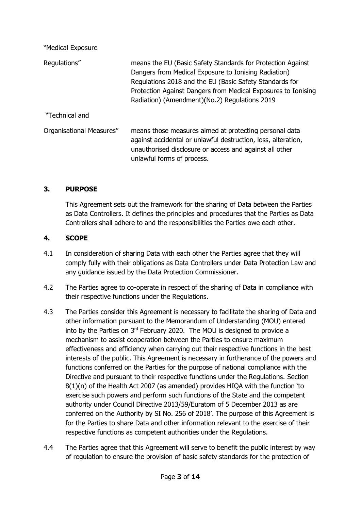| means the EU (Basic Safety Standards for Protection Against<br>Dangers from Medical Exposure to Ionising Radiation)<br>Regulations 2018 and the EU (Basic Safety Standards for<br>Protection Against Dangers from Medical Exposures to Ionising<br>Radiation) (Amendment) (No.2) Regulations 2019 |
|---------------------------------------------------------------------------------------------------------------------------------------------------------------------------------------------------------------------------------------------------------------------------------------------------|
|                                                                                                                                                                                                                                                                                                   |
| means those measures aimed at protecting personal data<br>against accidental or unlawful destruction, loss, alteration,<br>unauthorised disclosure or access and against all other<br>unlawful forms of process.                                                                                  |
|                                                                                                                                                                                                                                                                                                   |

## **3. PURPOSE**

This Agreement sets out the framework for the sharing of Data between the Parties as Data Controllers. It defines the principles and procedures that the Parties as Data Controllers shall adhere to and the responsibilities the Parties owe each other.

### **4. SCOPE**

- 4.1 In consideration of sharing Data with each other the Parties agree that they will comply fully with their obligations as Data Controllers under Data Protection Law and any guidance issued by the Data Protection Commissioner.
- 4.2 The Parties agree to co-operate in respect of the sharing of Data in compliance with their respective functions under the Regulations.
- 4.3 The Parties consider this Agreement is necessary to facilitate the sharing of Data and other information pursuant to the Memorandum of Understanding (MOU) entered into by the Parties on 3<sup>rd</sup> February 2020. The MOU is designed to provide a mechanism to assist cooperation between the Parties to ensure maximum effectiveness and efficiency when carrying out their respective functions in the best interests of the public. This Agreement is necessary in furtherance of the powers and functions conferred on the Parties for the purpose of national compliance with the Directive and pursuant to their respective functions under the Regulations. Section 8(1)(n) of the Health Act 2007 (as amended) provides HIQA with the function 'to exercise such powers and perform such functions of the State and the competent authority under Council Directive 2013/59/Euratom of 5 December 2013 as are conferred on the Authority by SI No. 256 of 2018'. The purpose of this Agreement is for the Parties to share Data and other information relevant to the exercise of their respective functions as competent authorities under the Regulations.
- 4.4 The Parties agree that this Agreement will serve to benefit the public interest by way of regulation to ensure the provision of basic safety standards for the protection of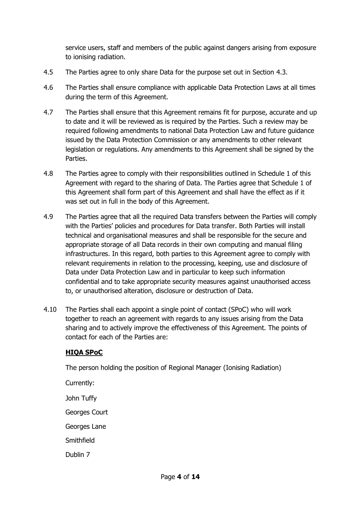service users, staff and members of the public against dangers arising from exposure to ionising radiation.

- 4.5 The Parties agree to only share Data for the purpose set out in Section 4.3.
- 4.6 The Parties shall ensure compliance with applicable Data Protection Laws at all times during the term of this Agreement.
- 4.7 The Parties shall ensure that this Agreement remains fit for purpose, accurate and up to date and it will be reviewed as is required by the Parties. Such a review may be required following amendments to national Data Protection Law and future guidance issued by the Data Protection Commission or any amendments to other relevant legislation or regulations. Any amendments to this Agreement shall be signed by the Parties.
- 4.8 The Parties agree to comply with their responsibilities outlined in Schedule 1 of this Agreement with regard to the sharing of Data. The Parties agree that Schedule 1 of this Agreement shall form part of this Agreement and shall have the effect as if it was set out in full in the body of this Agreement.
- 4.9 The Parties agree that all the required Data transfers between the Parties will comply with the Parties' policies and procedures for Data transfer. Both Parties will install technical and organisational measures and shall be responsible for the secure and appropriate storage of all Data records in their own computing and manual filing infrastructures. In this regard, both parties to this Agreement agree to comply with relevant requirements in relation to the processing, keeping, use and disclosure of Data under Data Protection Law and in particular to keep such information confidential and to take appropriate security measures against unauthorised access to, or unauthorised alteration, disclosure or destruction of Data.
- 4.10 The Parties shall each appoint a single point of contact (SPoC) who will work together to reach an agreement with regards to any issues arising from the Data sharing and to actively improve the effectiveness of this Agreement. The points of contact for each of the Parties are:

# **HIQA SPoC**

The person holding the position of Regional Manager (Ionising Radiation)

Currently: John Tuffy Georges Court Georges Lane Smithfield Dublin 7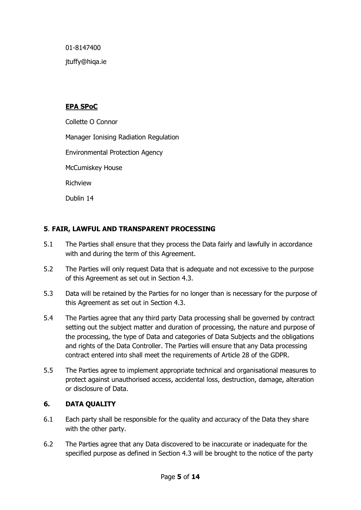01-8147400

jtuffy@hiqa.ie

# **EPA SPoC**

Collette O Connor

Manager Ionising Radiation Regulation

Environmental Protection Agency

McCumiskey House

Richview

Dublin 14

# **5**. **FAIR, LAWFUL AND TRANSPARENT PROCESSING**

- 5.1 The Parties shall ensure that they process the Data fairly and lawfully in accordance with and during the term of this Agreement.
- 5.2 The Parties will only request Data that is adequate and not excessive to the purpose of this Agreement as set out in Section 4.3.
- 5.3 Data will be retained by the Parties for no longer than is necessary for the purpose of this Agreement as set out in Section 4.3.
- 5.4 The Parties agree that any third party Data processing shall be governed by contract setting out the subject matter and duration of processing, the nature and purpose of the processing, the type of Data and categories of Data Subjects and the obligations and rights of the Data Controller. The Parties will ensure that any Data processing contract entered into shall meet the requirements of Article 28 of the GDPR.
- 5.5 The Parties agree to implement appropriate technical and organisational measures to protect against unauthorised access, accidental loss, destruction, damage, alteration or disclosure of Data.

# **6. DATA QUALITY**

- 6.1 Each party shall be responsible for the quality and accuracy of the Data they share with the other party.
- 6.2 The Parties agree that any Data discovered to be inaccurate or inadequate for the specified purpose as defined in Section 4.3 will be brought to the notice of the party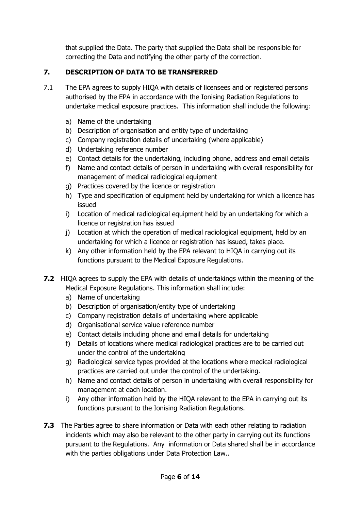that supplied the Data. The party that supplied the Data shall be responsible for correcting the Data and notifying the other party of the correction.

# **7. DESCRIPTION OF DATA TO BE TRANSFERRED**

- 7.1 The EPA agrees to supply HIQA with details of licensees and or registered persons authorised by the EPA in accordance with the Ionising Radiation Regulations to undertake medical exposure practices. This information shall include the following:
	- a) Name of the undertaking
	- b) Description of organisation and entity type of undertaking
	- c) Company registration details of undertaking (where applicable)
	- d) Undertaking reference number
	- e) Contact details for the undertaking, including phone, address and email details
	- f) Name and contact details of person in undertaking with overall responsibility for management of medical radiological equipment
	- g) Practices covered by the licence or registration
	- h) Type and specification of equipment held by undertaking for which a licence has issued
	- i) Location of medical radiological equipment held by an undertaking for which a licence or registration has issued
	- j) Location at which the operation of medical radiological equipment, held by an undertaking for which a licence or registration has issued, takes place.
	- k) Any other information held by the EPA relevant to HIQA in carrying out its functions pursuant to the Medical Exposure Regulations.
- **7.2** HIQA agrees to supply the EPA with details of undertakings within the meaning of the Medical Exposure Regulations. This information shall include:
	- a) Name of undertaking
	- b) Description of organisation/entity type of undertaking
	- c) Company registration details of undertaking where applicable
	- d) Organisational service value reference number
	- e) Contact details including phone and email details for undertaking
	- f) Details of locations where medical radiological practices are to be carried out under the control of the undertaking
	- g) Radiological service types provided at the locations where medical radiological practices are carried out under the control of the undertaking.
	- h) Name and contact details of person in undertaking with overall responsibility for management at each location.
	- i) Any other information held by the HIQA relevant to the EPA in carrying out its functions pursuant to the Ionising Radiation Regulations.
- **7.3** The Parties agree to share information or Data with each other relating to radiation incidents which may also be relevant to the other party in carrying out its functions pursuant to the Regulations. Any information or Data shared shall be in accordance with the parties obligations under Data Protection Law..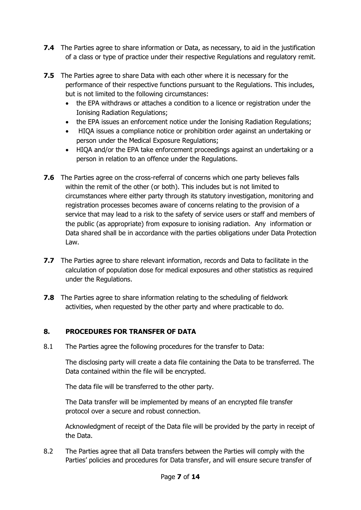- **7.4** The Parties agree to share information or Data, as necessary, to aid in the justification of a class or type of practice under their respective Regulations and regulatory remit.
- **7.5** The Parties agree to share Data with each other where it is necessary for the performance of their respective functions pursuant to the Regulations. This includes, but is not limited to the following circumstances:
	- the EPA withdraws or attaches a condition to a licence or registration under the Ionising Radiation Regulations;
	- the EPA issues an enforcement notice under the Ionising Radiation Regulations;
	- HIQA issues a compliance notice or prohibition order against an undertaking or person under the Medical Exposure Regulations;
	- HIQA and/or the EPA take enforcement proceedings against an undertaking or a person in relation to an offence under the Regulations.
- **7.6** The Parties agree on the cross-referral of concerns which one party believes falls within the remit of the other (or both). This includes but is not limited to circumstances where either party through its statutory investigation, monitoring and registration processes becomes aware of concerns relating to the provision of a service that may lead to a risk to the safety of service users or staff and members of the public (as appropriate) from exposure to ionising radiation. Any information or Data shared shall be in accordance with the parties obligations under Data Protection Law.
- **7.7** The Parties agree to share relevant information, records and Data to facilitate in the calculation of population dose for medical exposures and other statistics as required under the Regulations.
- **7.8** The Parties agree to share information relating to the scheduling of fieldwork activities, when requested by the other party and where practicable to do.

# **8. PROCEDURES FOR TRANSFER OF DATA**

8.1 The Parties agree the following procedures for the transfer to Data:

The disclosing party will create a data file containing the Data to be transferred. The Data contained within the file will be encrypted.

The data file will be transferred to the other party.

The Data transfer will be implemented by means of an encrypted file transfer protocol over a secure and robust connection.

Acknowledgment of receipt of the Data file will be provided by the party in receipt of the Data.

8.2 The Parties agree that all Data transfers between the Parties will comply with the Parties' policies and procedures for Data transfer, and will ensure secure transfer of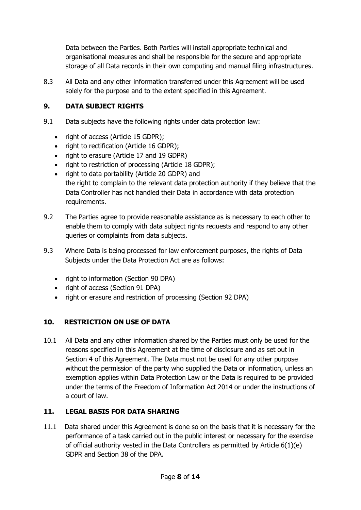Data between the Parties. Both Parties will install appropriate technical and organisational measures and shall be responsible for the secure and appropriate storage of all Data records in their own computing and manual filing infrastructures.

8.3 All Data and any other information transferred under this Agreement will be used solely for the purpose and to the extent specified in this Agreement.

# **9. DATA SUBJECT RIGHTS**

- 9.1 Data subjects have the following rights under data protection law:
	- right of access (Article 15 GDPR);
	- right to rectification (Article 16 GDPR);
	- right to erasure (Article 17 and 19 GDPR)
	- right to restriction of processing (Article 18 GDPR);
	- right to data portability (Article 20 GDPR) and the right to complain to the relevant data protection authority if they believe that the Data Controller has not handled their Data in accordance with data protection requirements.
- 9.2 The Parties agree to provide reasonable assistance as is necessary to each other to enable them to comply with data subject rights requests and respond to any other queries or complaints from data subjects.
- 9.3 Where Data is being processed for law enforcement purposes, the rights of Data Subjects under the Data Protection Act are as follows:
	- right to information (Section 90 DPA)
	- right of access (Section 91 DPA)
	- right or erasure and restriction of processing (Section 92 DPA)

# **10. RESTRICTION ON USE OF DATA**

10.1 All Data and any other information shared by the Parties must only be used for the reasons specified in this Agreement at the time of disclosure and as set out in Section 4 of this Agreement. The Data must not be used for any other purpose without the permission of the party who supplied the Data or information, unless an exemption applies within Data Protection Law or the Data is required to be provided under the terms of the Freedom of Information Act 2014 or under the instructions of a court of law.

# **11. LEGAL BASIS FOR DATA SHARING**

11.1 Data shared under this Agreement is done so on the basis that it is necessary for the performance of a task carried out in the public interest or necessary for the exercise of official authority vested in the Data Controllers as permitted by Article  $6(1)(e)$ GDPR and Section 38 of the DPA.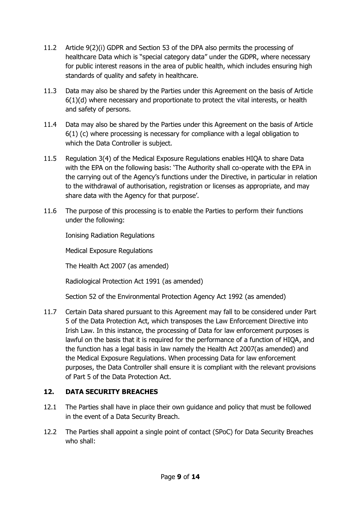- 11.2 Article 9(2)(i) GDPR and Section 53 of the DPA also permits the processing of healthcare Data which is "special category data" under the GDPR, where necessary for public interest reasons in the area of public health, which includes ensuring high standards of quality and safety in healthcare.
- 11.3 Data may also be shared by the Parties under this Agreement on the basis of Article  $6(1)(d)$  where necessary and proportionate to protect the vital interests, or health and safety of persons.
- 11.4 Data may also be shared by the Parties under this Agreement on the basis of Article 6(1) (c) where processing is necessary for compliance with a legal obligation to which the Data Controller is subject.
- 11.5 Regulation 3(4) of the Medical Exposure Regulations enables HIQA to share Data with the EPA on the following basis: 'The Authority shall co-operate with the EPA in the carrying out of the Agency's functions under the Directive, in particular in relation to the withdrawal of authorisation, registration or licenses as appropriate, and may share data with the Agency for that purpose'.
- 11.6 The purpose of this processing is to enable the Parties to perform their functions under the following:

Ionising Radiation Regulations

Medical Exposure Regulations

The Health Act 2007 (as amended)

Radiological Protection Act 1991 (as amended)

Section 52 of the Environmental Protection Agency Act 1992 (as amended)

11.7 Certain Data shared pursuant to this Agreement may fall to be considered under Part 5 of the Data Protection Act, which transposes the Law Enforcement Directive into Irish Law. In this instance, the processing of Data for law enforcement purposes is lawful on the basis that it is required for the performance of a function of HIQA, and the function has a legal basis in law namely the Health Act 2007(as amended) and the Medical Exposure Regulations. When processing Data for law enforcement purposes, the Data Controller shall ensure it is compliant with the relevant provisions of Part 5 of the Data Protection Act.

# **12. DATA SECURITY BREACHES**

- 12.1 The Parties shall have in place their own guidance and policy that must be followed in the event of a Data Security Breach.
- 12.2 The Parties shall appoint a single point of contact (SPoC) for Data Security Breaches who shall: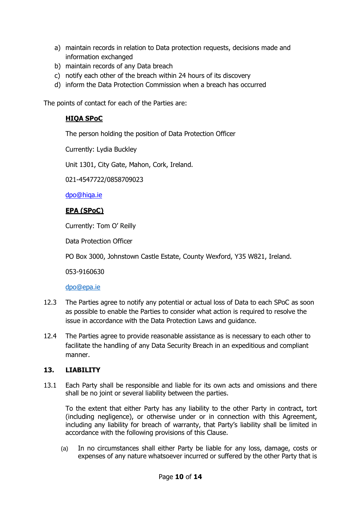- a) maintain records in relation to Data protection requests, decisions made and information exchanged
- b) maintain records of any Data breach
- c) notify each other of the breach within 24 hours of its discovery
- d) inform the Data Protection Commission when a breach has occurred

The points of contact for each of the Parties are:

## **HIQA SPoC**

The person holding the position of Data Protection Officer

Currently: Lydia Buckley

Unit 1301, City Gate, Mahon, Cork, Ireland.

021-4547722/0858709023

[dpo@hiqa.ie](mailto:infogovernance@hiqa.ie)

#### **EPA (SPoC)**

Currently: Tom O' Reilly

Data Protection Officer

PO Box 3000, Johnstown Castle Estate, County Wexford, Y35 W821, Ireland.

053-9160630

[dpo@epa.ie](mailto:dpo@epa.ie)

- 12.3 The Parties agree to notify any potential or actual loss of Data to each SPoC as soon as possible to enable the Parties to consider what action is required to resolve the issue in accordance with the Data Protection Laws and guidance.
- 12.4 The Parties agree to provide reasonable assistance as is necessary to each other to facilitate the handling of any Data Security Breach in an expeditious and compliant manner.

### **13. LIABILITY**

13.1 Each Party shall be responsible and liable for its own acts and omissions and there shall be no joint or several liability between the parties.

To the extent that either Party has any liability to the other Party in contract, tort (including negligence), or otherwise under or in connection with this Agreement, including any liability for breach of warranty, that Party's liability shall be limited in accordance with the following provisions of this Clause.

(a) In no circumstances shall either Party be liable for any loss, damage, costs or expenses of any nature whatsoever incurred or suffered by the other Party that is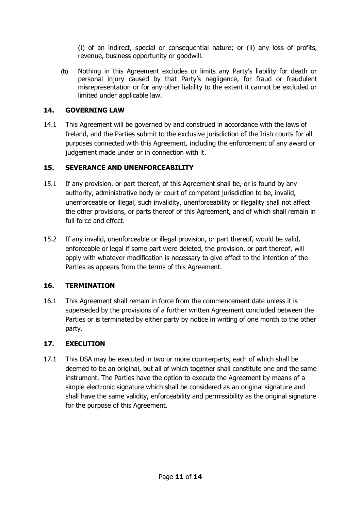(i) of an indirect, special or consequential nature; or (ii) any loss of profits, revenue, business opportunity or goodwill.

(b) Nothing in this Agreement excludes or limits any Party's liability for death or personal injury caused by that Party's negligence, for fraud or fraudulent misrepresentation or for any other liability to the extent it cannot be excluded or limited under applicable law.

## **14. GOVERNING LAW**

14.1 This Agreement will be governed by and construed in accordance with the laws of Ireland, and the Parties submit to the exclusive jurisdiction of the Irish courts for all purposes connected with this Agreement, including the enforcement of any award or judgement made under or in connection with it.

# **15. SEVERANCE AND UNENFORCEABILITY**

- 15.1 If any provision, or part thereof, of this Agreement shall be, or is found by any authority, administrative body or court of competent jurisdiction to be, invalid, unenforceable or illegal, such invalidity, unenforceability or illegality shall not affect the other provisions, or parts thereof of this Agreement, and of which shall remain in full force and effect.
- 15.2 If any invalid, unenforceable or illegal provision, or part thereof, would be valid, enforceable or legal if some part were deleted, the provision, or part thereof, will apply with whatever modification is necessary to give effect to the intention of the Parties as appears from the terms of this Agreement.

# **16. TERMINATION**

16.1 This Agreement shall remain in force from the commencement date unless it is superseded by the provisions of a further written Agreement concluded between the Parties or is terminated by either party by notice in writing of one month to the other party.

# **17. EXECUTION**

17.1 This DSA may be executed in two or more counterparts, each of which shall be deemed to be an original, but all of which together shall constitute one and the same instrument. The Parties have the option to execute the Agreement by means of a simple electronic signature which shall be considered as an original signature and shall have the same validity, enforceability and permissibility as the original signature for the purpose of this Agreement.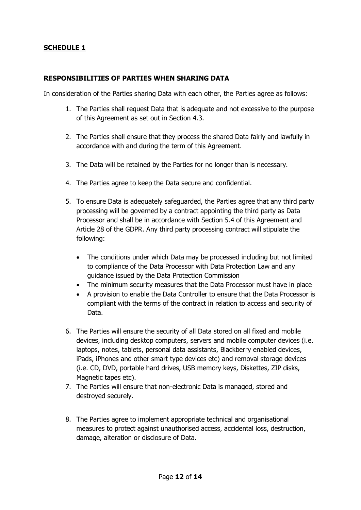# **SCHEDULE 1**

## **RESPONSIBILITIES OF PARTIES WHEN SHARING DATA**

In consideration of the Parties sharing Data with each other, the Parties agree as follows:

- 1. The Parties shall request Data that is adequate and not excessive to the purpose of this Agreement as set out in Section 4.3.
- 2. The Parties shall ensure that they process the shared Data fairly and lawfully in accordance with and during the term of this Agreement.
- 3. The Data will be retained by the Parties for no longer than is necessary.
- 4. The Parties agree to keep the Data secure and confidential.
- 5. To ensure Data is adequately safeguarded, the Parties agree that any third party processing will be governed by a contract appointing the third party as Data Processor and shall be in accordance with Section 5.4 of this Agreement and Article 28 of the GDPR. Any third party processing contract will stipulate the following:
	- The conditions under which Data may be processed including but not limited to compliance of the Data Processor with Data Protection Law and any guidance issued by the Data Protection Commission
	- The minimum security measures that the Data Processor must have in place
	- A provision to enable the Data Controller to ensure that the Data Processor is compliant with the terms of the contract in relation to access and security of Data.
- 6. The Parties will ensure the security of all Data stored on all fixed and mobile devices, including desktop computers, servers and mobile computer devices (i.e. laptops, notes, tablets, personal data assistants, Blackberry enabled devices, iPads, iPhones and other smart type devices etc) and removal storage devices (i.e. CD, DVD, portable hard drives, USB memory keys, Diskettes, ZIP disks, Magnetic tapes etc).
- 7. The Parties will ensure that non-electronic Data is managed, stored and destroyed securely.
- 8. The Parties agree to implement appropriate technical and organisational measures to protect against unauthorised access, accidental loss, destruction, damage, alteration or disclosure of Data.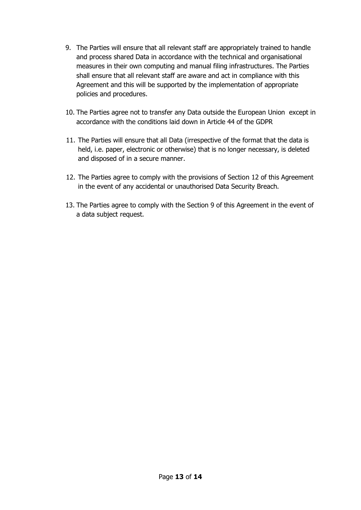- 9. The Parties will ensure that all relevant staff are appropriately trained to handle and process shared Data in accordance with the technical and organisational measures in their own computing and manual filing infrastructures. The Parties shall ensure that all relevant staff are aware and act in compliance with this Agreement and this will be supported by the implementation of appropriate policies and procedures.
- 10. The Parties agree not to transfer any Data outside the European Union except in accordance with the conditions laid down in Article 44 of the GDPR
- 11. The Parties will ensure that all Data (irrespective of the format that the data is held, i.e. paper, electronic or otherwise) that is no longer necessary, is deleted and disposed of in a secure manner.
- 12. The Parties agree to comply with the provisions of Section 12 of this Agreement in the event of any accidental or unauthorised Data Security Breach.
- 13. The Parties agree to comply with the Section 9 of this Agreement in the event of a data subject request.